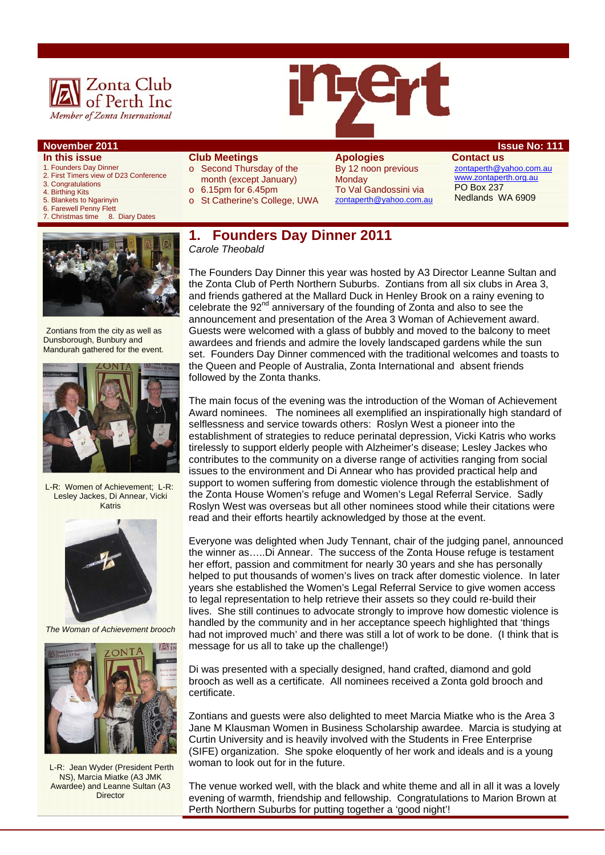

- **In this issue**
- 1. Founders Day Dinner 2. First Timers view of D23 Conference
- 3. Congratulations
- 4. Birthing Kits
- 5. Blankets to Ngarinyin
- 
- 6. Farewell Penny Flett<br>7. Christmas time 8. Diary Dates 7. Christmas time



Zontians from the city as well as Dunsborough, Bunbury and Mandurah gathered for the event.



L-R: Women of Achievement; L-R: Lesley Jackes, Di Annear, Vicki Katris



*The Woman of Achievement brooch* 



 L-R: Jean Wyder (President Perth NS), Marcia Miatke (A3 JMK Awardee) and Leanne Sultan (A3 **Director** 

### **Club Meetings**

- o Second Thursday of the month (except January)  $\circ$  6.15pm for 6.45pm
- 

#### o St Catherine's College, UWA

#### **Apologies**  By 12 noon previous **Monday** To Val Gandossini via zontaperth@yahoo.com.au

**Contact us**  zontaperth@yahoo.com.au www.zontaperth.org.au PO Box 237 Nedlands WA 6909

#### **1. Founders Day Dinner 2011**  *Carole Theobald*

The Founders Day Dinner this year was hosted by A3 Director Leanne Sultan and the Zonta Club of Perth Northern Suburbs. Zontians from all six clubs in Area 3, and friends gathered at the Mallard Duck in Henley Brook on a rainy evening to celebrate the 92<sup>nd</sup> anniversary of the founding of Zonta and also to see the announcement and presentation of the Area 3 Woman of Achievement award. Guests were welcomed with a glass of bubbly and moved to the balcony to meet awardees and friends and admire the lovely landscaped gardens while the sun set. Founders Day Dinner commenced with the traditional welcomes and toasts to the Queen and People of Australia, Zonta International and absent friends followed by the Zonta thanks.

The main focus of the evening was the introduction of the Woman of Achievement Award nominees. The nominees all exemplified an inspirationally high standard of selflessness and service towards others: Roslyn West a pioneer into the establishment of strategies to reduce perinatal depression, Vicki Katris who works tirelessly to support elderly people with Alzheimer's disease; Lesley Jackes who contributes to the community on a diverse range of activities ranging from social issues to the environment and Di Annear who has provided practical help and support to women suffering from domestic violence through the establishment of the Zonta House Women's refuge and Women's Legal Referral Service. Sadly Roslyn West was overseas but all other nominees stood while their citations were read and their efforts heartily acknowledged by those at the event.

Everyone was delighted when Judy Tennant, chair of the judging panel, announced the winner as…..Di Annear. The success of the Zonta House refuge is testament her effort, passion and commitment for nearly 30 years and she has personally helped to put thousands of women's lives on track after domestic violence. In later years she established the Women's Legal Referral Service to give women access to legal representation to help retrieve their assets so they could re-build their lives. She still continues to advocate strongly to improve how domestic violence is handled by the community and in her acceptance speech highlighted that 'things had not improved much' and there was still a lot of work to be done. (I think that is message for us all to take up the challenge!)

Di was presented with a specially designed, hand crafted, diamond and gold brooch as well as a certificate. All nominees received a Zonta gold brooch and certificate.

Zontians and guests were also delighted to meet Marcia Miatke who is the Area 3 Jane M Klausman Women in Business Scholarship awardee. Marcia is studying at Curtin University and is heavily involved with the Students in Free Enterprise (SIFE) organization. She spoke eloquently of her work and ideals and is a young woman to look out for in the future.

The venue worked well, with the black and white theme and all in all it was a lovely evening of warmth, friendship and fellowship. Congratulations to Marion Brown at Perth Northern Suburbs for putting together a 'good night'!

#### **November 2011 ISSUE No. 111 ISSUE No: 111**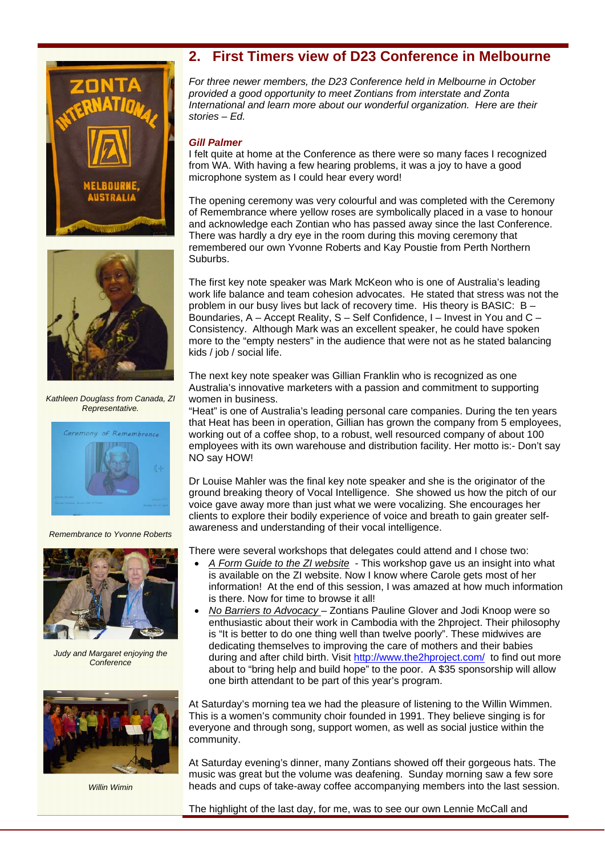



*Kathleen Douglass from Canada, ZI Representative.* 



*Remembrance to Yvonne Roberts* 



*Judy and Margaret enjoying the Conference* 



*Willin Wimin* 

# **2. First Timers view of D23 Conference in Melbourne**

*For three newer members, the D23 Conference held in Melbourne in October provided a good opportunity to meet Zontians from interstate and Zonta International and learn more about our wonderful organization. Here are their stories – Ed.* 

#### *Gill Palmer*

I felt quite at home at the Conference as there were so many faces I recognized from WA. With having a few hearing problems, it was a joy to have a good microphone system as I could hear every word!

The opening ceremony was very colourful and was completed with the Ceremony of Remembrance where yellow roses are symbolically placed in a vase to honour and acknowledge each Zontian who has passed away since the last Conference. There was hardly a dry eye in the room during this moving ceremony that remembered our own Yvonne Roberts and Kay Poustie from Perth Northern Suburbs.

The first key note speaker was Mark McKeon who is one of Australia's leading work life balance and team cohesion advocates. He stated that stress was not the problem in our busy lives but lack of recovery time. His theory is BASIC: B – Boundaries, A – Accept Reality, S – Self Confidence, I – Invest in You and C – Consistency. Although Mark was an excellent speaker, he could have spoken more to the "empty nesters" in the audience that were not as he stated balancing kids / job / social life.

The next key note speaker was Gillian Franklin who is recognized as one Australia's innovative marketers with a passion and commitment to supporting women in business.

"Heat" is one of Australia's leading personal care companies. During the ten years that Heat has been in operation, Gillian has grown the company from 5 employees, working out of a coffee shop, to a robust, well resourced company of about 100 employees with its own warehouse and distribution facility. Her motto is:- Don't say NO say HOW!

Dr Louise Mahler was the final key note speaker and she is the originator of the ground breaking theory of Vocal Intelligence. She showed us how the pitch of our voice gave away more than just what we were vocalizing. She encourages her clients to explore their bodily experience of voice and breath to gain greater selfawareness and understanding of their vocal intelligence.

There were several workshops that delegates could attend and I chose two:

- *A Form Guide to the ZI website* This workshop gave us an insight into what is available on the ZI website. Now I know where Carole gets most of her information! At the end of this session, I was amazed at how much information is there. Now for time to browse it all!
- *No Barriers to Advocacy* Zontians Pauline Glover and Jodi Knoop were so enthusiastic about their work in Cambodia with the 2hproject. Their philosophy is "It is better to do one thing well than twelve poorly". These midwives are dedicating themselves to improving the care of mothers and their babies during and after child birth. Visit http://www.the2hproject.com/ to find out more about to "bring help and build hope" to the poor. A \$35 sponsorship will allow one birth attendant to be part of this year's program.

At Saturday's morning tea we had the pleasure of listening to the Willin Wimmen. This is a women's community choir founded in 1991. They believe singing is for everyone and through song, support women, as well as social justice within the community.

At Saturday evening's dinner, many Zontians showed off their gorgeous hats. The music was great but the volume was deafening. Sunday morning saw a few sore heads and cups of take-away coffee accompanying members into the last session.

The highlight of the last day, for me, was to see our own Lennie McCall and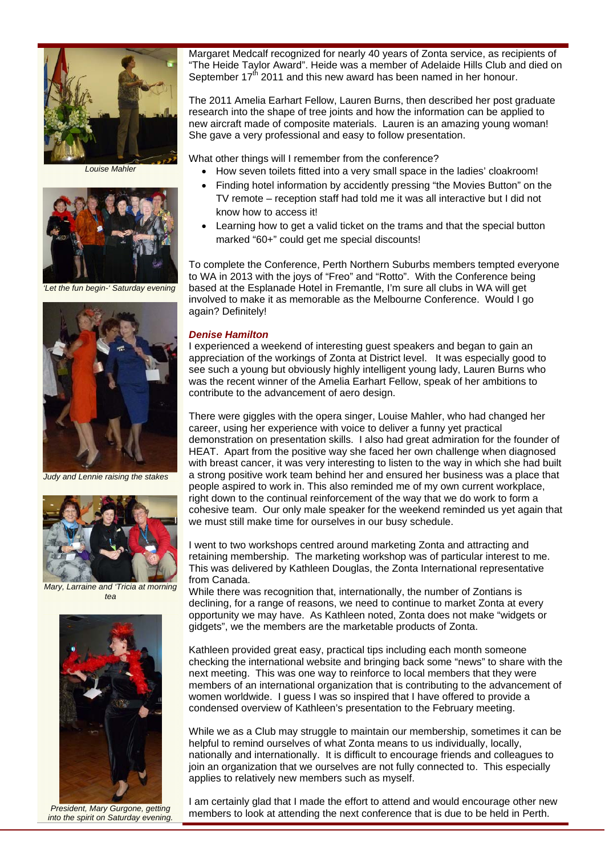

*Louise Mahler* 



*'Let the fun begin-' Saturday evening* 



*Judy and Lennie raising the stakes* 



*Mary, Larraine and 'Tricia at morning tea* 



*President, Mary Gurgone, getting into the spirit on Saturday evening.* 

Margaret Medcalf recognized for nearly 40 years of Zonta service, as recipients of "The Heide Taylor Award". Heide was a member of Adelaide Hills Club and died on September  $17<sup>th</sup>$  2011 and this new award has been named in her honour.

The 2011 Amelia Earhart Fellow, Lauren Burns, then described her post graduate research into the shape of tree joints and how the information can be applied to new aircraft made of composite materials. Lauren is an amazing young woman! She gave a very professional and easy to follow presentation.

What other things will I remember from the conference?

- How seven toilets fitted into a very small space in the ladies' cloakroom!
- Finding hotel information by accidently pressing "the Movies Button" on the TV remote – reception staff had told me it was all interactive but I did not know how to access it!
- Learning how to get a valid ticket on the trams and that the special button marked "60+" could get me special discounts!

To complete the Conference, Perth Northern Suburbs members tempted everyone to WA in 2013 with the joys of "Freo" and "Rotto". With the Conference being based at the Esplanade Hotel in Fremantle, I'm sure all clubs in WA will get involved to make it as memorable as the Melbourne Conference. Would I go again? Definitely!

#### *Denise Hamilton*

I experienced a weekend of interesting guest speakers and began to gain an appreciation of the workings of Zonta at District level. It was especially good to see such a young but obviously highly intelligent young lady, Lauren Burns who was the recent winner of the Amelia Earhart Fellow, speak of her ambitions to contribute to the advancement of aero design.

There were giggles with the opera singer, Louise Mahler, who had changed her career, using her experience with voice to deliver a funny yet practical demonstration on presentation skills. I also had great admiration for the founder of HEAT. Apart from the positive way she faced her own challenge when diagnosed with breast cancer, it was very interesting to listen to the way in which she had built a strong positive work team behind her and ensured her business was a place that people aspired to work in. This also reminded me of my own current workplace, right down to the continual reinforcement of the way that we do work to form a cohesive team. Our only male speaker for the weekend reminded us yet again that we must still make time for ourselves in our busy schedule.

I went to two workshops centred around marketing Zonta and attracting and retaining membership. The marketing workshop was of particular interest to me. This was delivered by Kathleen Douglas, the Zonta International representative from Canada.

While there was recognition that, internationally, the number of Zontians is declining, for a range of reasons, we need to continue to market Zonta at every opportunity we may have. As Kathleen noted, Zonta does not make "widgets or gidgets", we the members are the marketable products of Zonta.

Kathleen provided great easy, practical tips including each month someone checking the international website and bringing back some "news" to share with the next meeting. This was one way to reinforce to local members that they were members of an international organization that is contributing to the advancement of women worldwide. I guess I was so inspired that I have offered to provide a condensed overview of Kathleen's presentation to the February meeting.

While we as a Club may struggle to maintain our membership, sometimes it can be helpful to remind ourselves of what Zonta means to us individually, locally, nationally and internationally. It is difficult to encourage friends and colleagues to join an organization that we ourselves are not fully connected to. This especially applies to relatively new members such as myself.

I am certainly glad that I made the effort to attend and would encourage other new members to look at attending the next conference that is due to be held in Perth.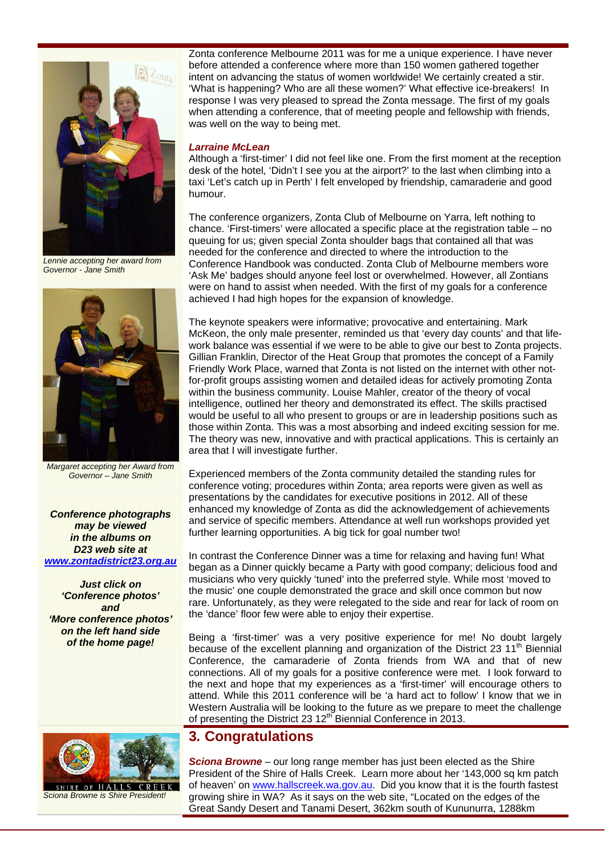

*Lennie accepting her award from Governor - Jane Smith* 



*Margaret accepting her Award from Governor – Jane Smith* 

*Conference photographs may be viewed in the albums on D23 web site at www.zontadistrict23.org.au*

*Just click on 'Conference photos' and 'More conference photos' on the left hand side of the home page!*

Zonta conference Melbourne 2011 was for me a unique experience. I have never before attended a conference where more than 150 women gathered together intent on advancing the status of women worldwide! We certainly created a stir. 'What is happening? Who are all these women?' What effective ice-breakers! In response I was very pleased to spread the Zonta message. The first of my goals when attending a conference, that of meeting people and fellowship with friends, was well on the way to being met.

#### *Larraine McLean*

Although a 'first-timer' I did not feel like one. From the first moment at the reception desk of the hotel, 'Didn't I see you at the airport?' to the last when climbing into a taxi 'Let's catch up in Perth' I felt enveloped by friendship, camaraderie and good humour.

The conference organizers, Zonta Club of Melbourne on Yarra, left nothing to chance. 'First-timers' were allocated a specific place at the registration table – no queuing for us; given special Zonta shoulder bags that contained all that was needed for the conference and directed to where the introduction to the Conference Handbook was conducted. Zonta Club of Melbourne members wore 'Ask Me' badges should anyone feel lost or overwhelmed. However, all Zontians were on hand to assist when needed. With the first of my goals for a conference achieved I had high hopes for the expansion of knowledge.

The keynote speakers were informative; provocative and entertaining. Mark McKeon, the only male presenter, reminded us that 'every day counts' and that lifework balance was essential if we were to be able to give our best to Zonta projects. Gillian Franklin, Director of the Heat Group that promotes the concept of a Family Friendly Work Place, warned that Zonta is not listed on the internet with other notfor-profit groups assisting women and detailed ideas for actively promoting Zonta within the business community. Louise Mahler, creator of the theory of vocal intelligence, outlined her theory and demonstrated its effect. The skills practised would be useful to all who present to groups or are in leadership positions such as those within Zonta. This was a most absorbing and indeed exciting session for me. The theory was new, innovative and with practical applications. This is certainly an area that I will investigate further.

Experienced members of the Zonta community detailed the standing rules for conference voting; procedures within Zonta; area reports were given as well as presentations by the candidates for executive positions in 2012. All of these enhanced my knowledge of Zonta as did the acknowledgement of achievements and service of specific members. Attendance at well run workshops provided yet further learning opportunities. A big tick for goal number two!

In contrast the Conference Dinner was a time for relaxing and having fun! What began as a Dinner quickly became a Party with good company; delicious food and musicians who very quickly 'tuned' into the preferred style. While most 'moved to the music' one couple demonstrated the grace and skill once common but now rare. Unfortunately, as they were relegated to the side and rear for lack of room on the 'dance' floor few were able to enjoy their expertise.

Being a 'first-timer' was a very positive experience for me! No doubt largely because of the excellent planning and organization of the District 23 11<sup>th</sup> Biennial Conference, the camaraderie of Zonta friends from WA and that of new connections. All of my goals for a positive conference were met. I look forward to the next and hope that my experiences as a 'first-timer' will encourage others to attend. While this 2011 conference will be 'a hard act to follow' I know that we in Western Australia will be looking to the future as we prepare to meet the challenge of presenting the District 23 12<sup>th</sup> Biennial Conference in 2013.



 $O$  F *Sciona Browne is Shire President!* 

# **3***.* **Congratulations**

*Sciona Browne* – our long range member has just been elected as the Shire President of the Shire of Halls Creek. Learn more about her '143,000 sq km patch of heaven' on www.hallscreek.wa.gov.au. Did you know that it is the fourth fastest growing shire in WA? As it says on the web site, "Located on the edges of the Great Sandy Desert and Tanami Desert, 362km south of Kununurra, 1288km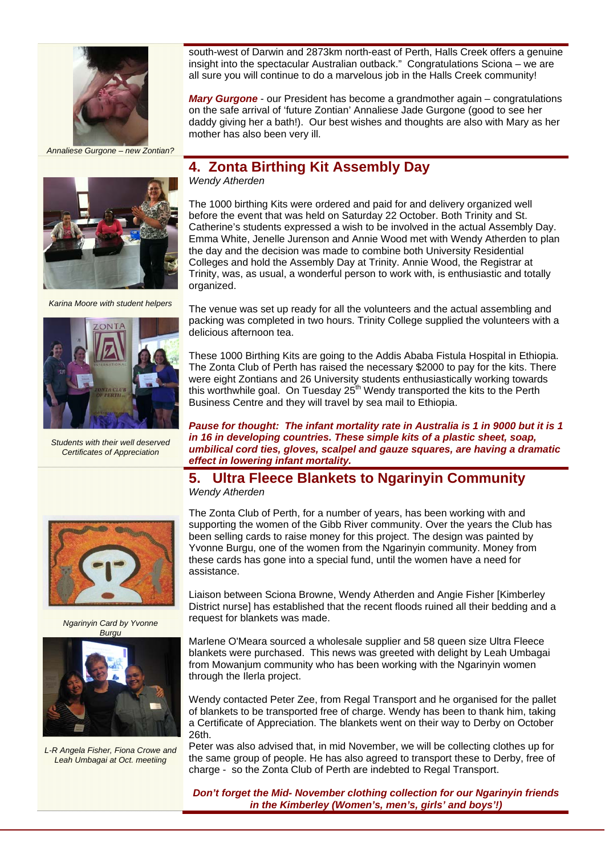

*Annaliese Gurgone – new Zontian?* 

south-west of Darwin and 2873km north-east of Perth, Halls Creek offers a genuine insight into the spectacular Australian outback." Congratulations Sciona – we are all sure you will continue to do a marvelous job in the Halls Creek community!

*Mary Gurgone* - our President has become a grandmother again – congratulations on the safe arrival of 'future Zontian' Annaliese Jade Gurgone (good to see her daddy giving her a bath!). Our best wishes and thoughts are also with Mary as her mother has also been very ill.



*Karina Moore with student helpers* 



*Students with their well deserved Certificates of Appreciation* 



*Ngarinyin Card by Yvonne Burgu*



*L-R Angela Fisher, Fiona Crowe and Leah Umbagai at Oct. meetiing* 

# **4. Zonta Birthing Kit Assembly Day**

*Wendy Atherden* 

The 1000 birthing Kits were ordered and paid for and delivery organized well before the event that was held on Saturday 22 October. Both Trinity and St. Catherine's students expressed a wish to be involved in the actual Assembly Day. Emma White, Jenelle Jurenson and Annie Wood met with Wendy Atherden to plan the day and the decision was made to combine both University Residential Colleges and hold the Assembly Day at Trinity. Annie Wood, the Registrar at Trinity, was, as usual, a wonderful person to work with, is enthusiastic and totally organized.

The venue was set up ready for all the volunteers and the actual assembling and packing was completed in two hours. Trinity College supplied the volunteers with a delicious afternoon tea.

These 1000 Birthing Kits are going to the Addis Ababa Fistula Hospital in Ethiopia. The Zonta Club of Perth has raised the necessary \$2000 to pay for the kits. There were eight Zontians and 26 University students enthusiastically working towards this worthwhile goal. On Tuesday  $25<sup>th</sup>$  Wendy transported the kits to the Perth Business Centre and they will travel by sea mail to Ethiopia.

*Pause for thought: The infant mortality rate in Australia is 1 in 9000 but it is 1 in 16 in developing countries. These simple kits of a plastic sheet, soap, umbilical cord ties, gloves, scalpel and gauze squares, are having a dramatic effect in lowering infant mortality.*

#### **5. Ultra Fleece Blankets to Ngarinyin Community**  *Wendy Atherden*

The Zonta Club of Perth, for a number of years, has been working with and supporting the women of the Gibb River community. Over the years the Club has been selling cards to raise money for this project. The design was painted by Yvonne Burgu, one of the women from the Ngarinyin community. Money from these cards has gone into a special fund, until the women have a need for assistance.

Liaison between Sciona Browne, Wendy Atherden and Angie Fisher [Kimberley District nurse] has established that the recent floods ruined all their bedding and a request for blankets was made.

Marlene O'Meara sourced a wholesale supplier and 58 queen size Ultra Fleece blankets were purchased. This news was greeted with delight by Leah Umbagai from Mowanjum community who has been working with the Ngarinyin women through the Ilerla project.

Wendy contacted Peter Zee, from Regal Transport and he organised for the pallet of blankets to be transported free of charge. Wendy has been to thank him, taking a Certificate of Appreciation. The blankets went on their way to Derby on October 26th.

Peter was also advised that, in mid November, we will be collecting clothes up for the same group of people. He has also agreed to transport these to Derby, free of charge - so the Zonta Club of Perth are indebted to Regal Transport.

*Don't forget the Mid- November clothing collection for our Ngarinyin friends in the Kimberley (Women's, men's, girls' and boys'!)*